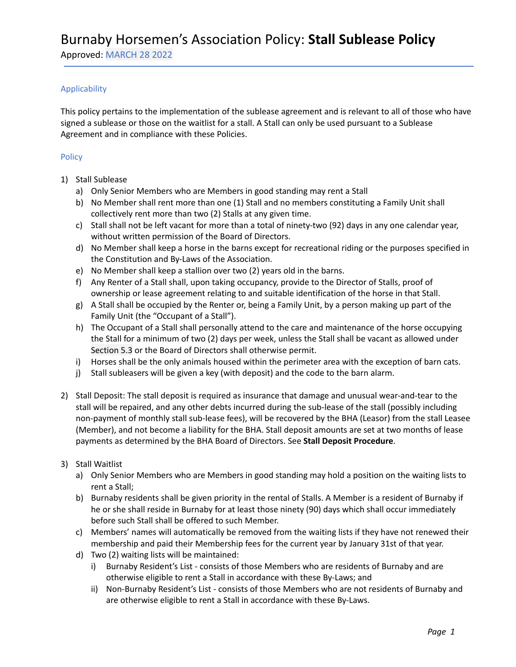Approved: MARCH 28 2022

### Applicability

This policy pertains to the implementation of the sublease agreement and is relevant to all of those who have signed a sublease or those on the waitlist for a stall. A Stall can only be used pursuant to a Sublease Agreement and in compliance with these Policies.

### Policy

- 1) Stall Sublease
	- a) Only Senior Members who are Members in good standing may rent a Stall
	- b) No Member shall rent more than one (1) Stall and no members constituting a Family Unit shall collectively rent more than two (2) Stalls at any given time.
	- c) Stall shall not be left vacant for more than a total of ninety-two (92) days in any one calendar year, without written permission of the Board of Directors.
	- d) No Member shall keep a horse in the barns except for recreational riding or the purposes specified in the Constitution and By-Laws of the Association.
	- e) No Member shall keep a stallion over two (2) years old in the barns.
	- f) Any Renter of a Stall shall, upon taking occupancy, provide to the Director of Stalls, proof of ownership or lease agreement relating to and suitable identification of the horse in that Stall.
	- g) A Stall shall be occupied by the Renter or, being a Family Unit, by a person making up part of the Family Unit (the "Occupant of a Stall").
	- h) The Occupant of a Stall shall personally attend to the care and maintenance of the horse occupying the Stall for a minimum of two (2) days per week, unless the Stall shall be vacant as allowed under Section 5.3 or the Board of Directors shall otherwise permit.
	- i) Horses shall be the only animals housed within the perimeter area with the exception of barn cats.
	- j) Stall subleasers will be given a key (with deposit) and the code to the barn alarm.
- 2) Stall Deposit: The stall deposit is required as insurance that damage and unusual wear-and-tear to the stall will be repaired, and any other debts incurred during the sub-lease of the stall (possibly including non-payment of monthly stall sub-lease fees), will be recovered by the BHA (Leasor) from the stall Leasee (Member), and not become a liability for the BHA. Stall deposit amounts are set at two months of lease payments as determined by the BHA Board of Directors. See **Stall Deposit Procedure**.

### 3) Stall Waitlist

- a) Only Senior Members who are Members in good standing may hold a position on the waiting lists to rent a Stall;
- b) Burnaby residents shall be given priority in the rental of Stalls. A Member is a resident of Burnaby if he or she shall reside in Burnaby for at least those ninety (90) days which shall occur immediately before such Stall shall be offered to such Member.
- c) Members' names will automatically be removed from the waiting lists if they have not renewed their membership and paid their Membership fees for the current year by January 31st of that year.
- d) Two (2) waiting lists will be maintained:
	- i) Burnaby Resident's List consists of those Members who are residents of Burnaby and are otherwise eligible to rent a Stall in accordance with these By-Laws; and
	- ii) Non-Burnaby Resident's List consists of those Members who are not residents of Burnaby and are otherwise eligible to rent a Stall in accordance with these By-Laws.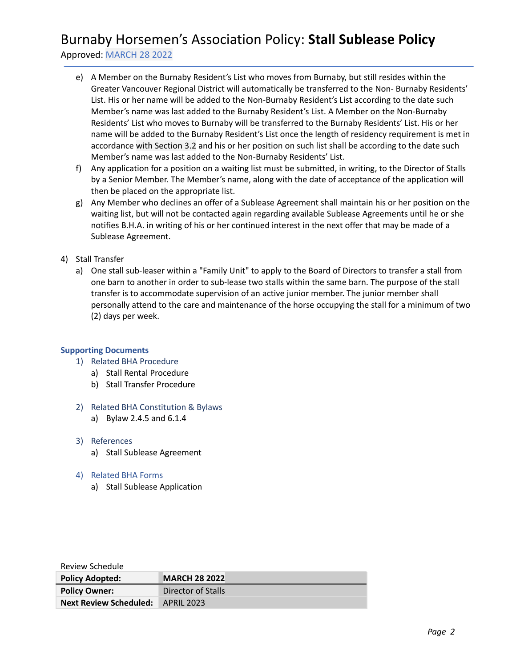# Burnaby Horsemen's Association Policy: **Stall Sublease Policy**

Approved: MARCH 28 2022

- e) A Member on the Burnaby Resident's List who moves from Burnaby, but still resides within the Greater Vancouver Regional District will automatically be transferred to the Non- Burnaby Residents' List. His or her name will be added to the Non-Burnaby Resident's List according to the date such Member's name was last added to the Burnaby Resident's List. A Member on the Non-Burnaby Residents' List who moves to Burnaby will be transferred to the Burnaby Residents' List. His or her name will be added to the Burnaby Resident's List once the length of residency requirement is met in accordance with Section 3.2 and his or her position on such list shall be according to the date such Member's name was last added to the Non-Burnaby Residents' List.
- f) Any application for a position on a waiting list must be submitted, in writing, to the Director of Stalls by a Senior Member. The Member's name, along with the date of acceptance of the application will then be placed on the appropriate list.
- g) Any Member who declines an offer of a Sublease Agreement shall maintain his or her position on the waiting list, but will not be contacted again regarding available Sublease Agreements until he or she notifies B.H.A. in writing of his or her continued interest in the next offer that may be made of a Sublease Agreement.
- 4) Stall Transfer
	- a) One stall sub-leaser within a "Family Unit" to apply to the Board of Directors to transfer a stall from one barn to another in order to sub-lease two stalls within the same barn. The purpose of the stall transfer is to accommodate supervision of an active junior member. The junior member shall personally attend to the care and maintenance of the horse occupying the stall for a minimum of two (2) days per week.

### **Supporting Documents**

- 1) Related BHA Procedure
	- a) Stall Rental Procedure
	- b) Stall Transfer Procedure
- 2) Related BHA Constitution & Bylaws
	- a) Bylaw 2.4.5 and 6.1.4
- 3) References
	- a) Stall Sublease Agreement
- 4) Related BHA Forms
	- a) Stall Sublease Application

| Review Schedule               |                      |  |
|-------------------------------|----------------------|--|
| <b>Policy Adopted:</b>        | <b>MARCH 28 2022</b> |  |
| <b>Policy Owner:</b>          | Director of Stalls   |  |
| <b>Next Review Scheduled:</b> | <b>APRIL 2023</b>    |  |